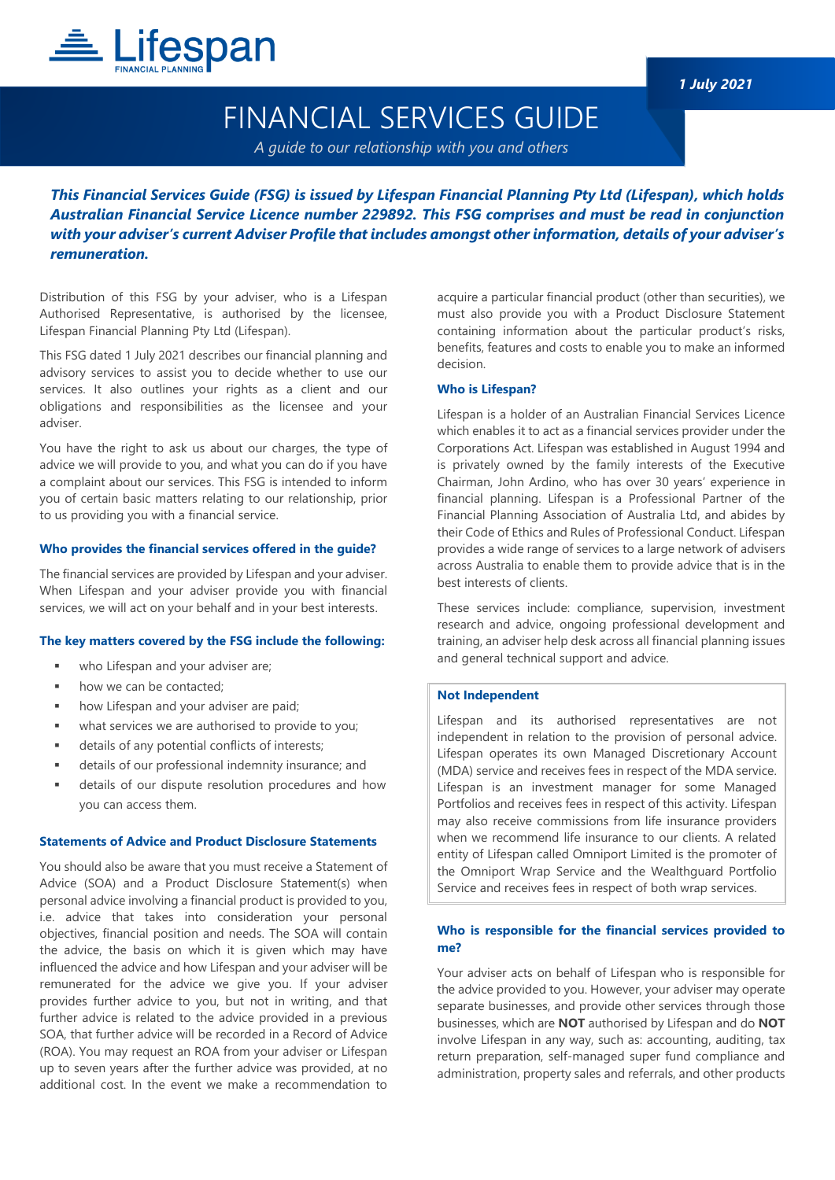

## FINANCIAL SERVICES GUIDE

*A guide to our relationship with you and others*

*This Financial Services Guide (FSG) is issued by Lifespan Financial Planning Pty Ltd (Lifespan), which holds Australian Financial Service Licence number 229892. This FSG comprises and must be read in conjunction with your adviser's current Adviser Profile that includes amongst other information, details of your adviser's remuneration.*

Distribution of this FSG by your adviser, who is a Lifespan Authorised Representative, is authorised by the licensee, Lifespan Financial Planning Pty Ltd (Lifespan).

This FSG dated 1 July 2021 describes our financial planning and advisory services to assist you to decide whether to use our services. It also outlines your rights as a client and our obligations and responsibilities as the licensee and your adviser.

You have the right to ask us about our charges, the type of advice we will provide to you, and what you can do if you have a complaint about our services. This FSG is intended to inform you of certain basic matters relating to our relationship, prior to us providing you with a financial service.

#### **Who provides the financial services offered in the guide?**

The financial services are provided by Lifespan and your adviser. When Lifespan and your adviser provide you with financial services, we will act on your behalf and in your best interests.

#### **The key matters covered by the FSG include the following:**

- who Lifespan and your adviser are;
- how we can be contacted;
- how Lifespan and your adviser are paid;
- what services we are authorised to provide to you;
- details of any potential conflicts of interests;
- details of our professional indemnity insurance; and
- details of our dispute resolution procedures and how you can access them.

#### **Statements of Advice and Product Disclosure Statements**

You should also be aware that you must receive a Statement of Advice (SOA) and a Product Disclosure Statement(s) when personal advice involving a financial product is provided to you, i.e. advice that takes into consideration your personal objectives, financial position and needs. The SOA will contain the advice, the basis on which it is given which may have influenced the advice and how Lifespan and your adviser will be remunerated for the advice we give you. If your adviser provides further advice to you, but not in writing, and that further advice is related to the advice provided in a previous SOA, that further advice will be recorded in a Record of Advice (ROA). You may request an ROA from your adviser or Lifespan up to seven years after the further advice was provided, at no additional cost. In the event we make a recommendation to acquire a particular financial product (other than securities), we must also provide you with a Product Disclosure Statement containing information about the particular product's risks, benefits, features and costs to enable you to make an informed decision.

#### **Who is Lifespan?**

Lifespan is a holder of an Australian Financial Services Licence which enables it to act as a financial services provider under the Corporations Act. Lifespan was established in August 1994 and is privately owned by the family interests of the Executive Chairman, John Ardino, who has over 30 years' experience in financial planning. Lifespan is a Professional Partner of the Financial Planning Association of Australia Ltd, and abides by their Code of Ethics and Rules of Professional Conduct. Lifespan provides a wide range of services to a large network of advisers across Australia to enable them to provide advice that is in the best interests of clients.

These services include: compliance, supervision, investment research and advice, ongoing professional development and training, an adviser help desk across all financial planning issues and general technical support and advice.

#### **Not Independent**

Lifespan and its authorised representatives are not independent in relation to the provision of personal advice. Lifespan operates its own Managed Discretionary Account (MDA) service and receives fees in respect of the MDA service. Lifespan is an investment manager for some Managed Portfolios and receives fees in respect of this activity. Lifespan may also receive commissions from life insurance providers when we recommend life insurance to our clients. A related entity of Lifespan called Omniport Limited is the promoter of the Omniport Wrap Service and the Wealthguard Portfolio Service and receives fees in respect of both wrap services.

## **Who is responsible for the financial services provided to me?**

Your adviser acts on behalf of Lifespan who is responsible for the advice provided to you. However, your adviser may operate separate businesses, and provide other services through those businesses, which are **NOT** authorised by Lifespan and do **NOT** involve Lifespan in any way, such as: accounting, auditing, tax return preparation, self-managed super fund compliance and administration, property sales and referrals, and other products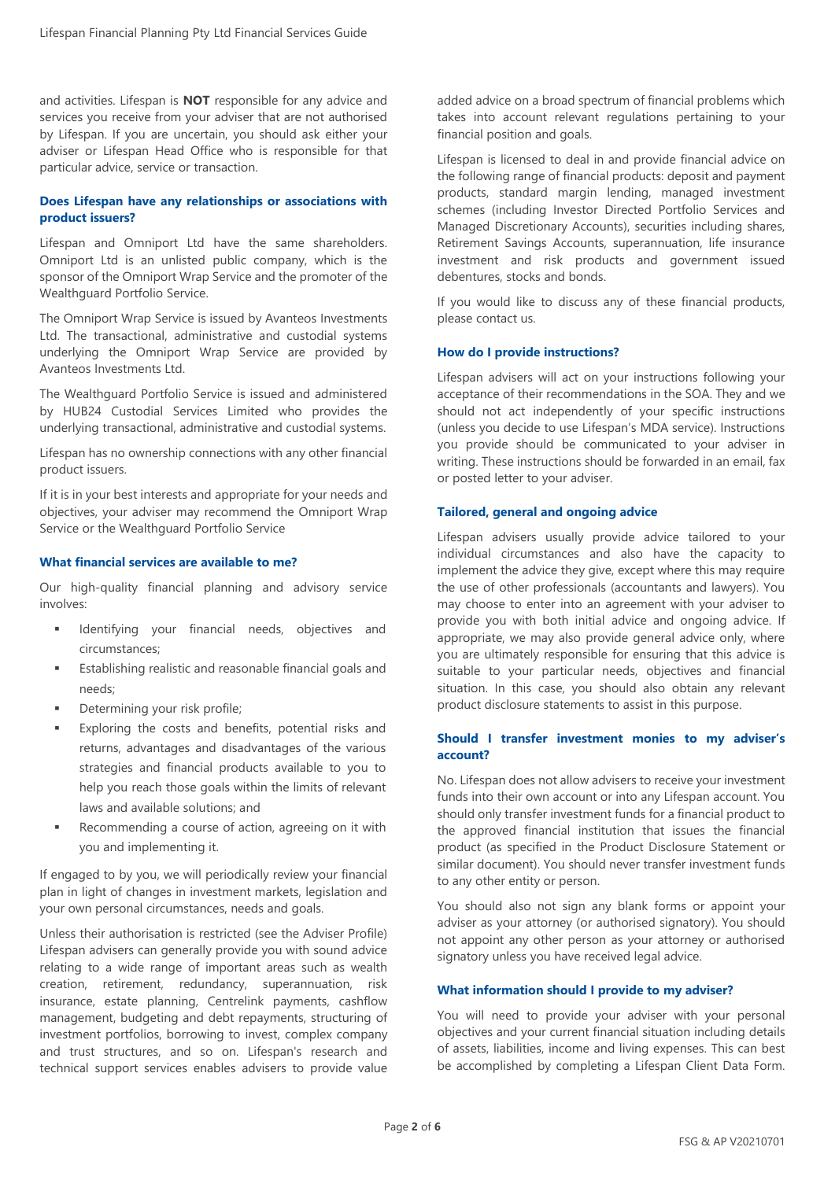and activities. Lifespan is **NOT** responsible for any advice and services you receive from your adviser that are not authorised by Lifespan. If you are uncertain, you should ask either your adviser or Lifespan Head Office who is responsible for that particular advice, service or transaction.

## **Does Lifespan have any relationships or associations with product issuers?**

Lifespan and Omniport Ltd have the same shareholders. Omniport Ltd is an unlisted public company, which is the sponsor of the Omniport Wrap Service and the promoter of the Wealthguard Portfolio Service.

The Omniport Wrap Service is issued by Avanteos Investments Ltd. The transactional, administrative and custodial systems underlying the Omniport Wrap Service are provided by Avanteos Investments Ltd.

The Wealthguard Portfolio Service is issued and administered by HUB24 Custodial Services Limited who provides the underlying transactional, administrative and custodial systems.

Lifespan has no ownership connections with any other financial product issuers.

If it is in your best interests and appropriate for your needs and objectives, your adviser may recommend the Omniport Wrap Service or the Wealthguard Portfolio Service

#### **What financial services are available to me?**

Our high-quality financial planning and advisory service involves:

- Identifying your financial needs, objectives and circumstances;
- Establishing realistic and reasonable financial goals and needs;
- Determining your risk profile;
- Exploring the costs and benefits, potential risks and returns, advantages and disadvantages of the various strategies and financial products available to you to help you reach those goals within the limits of relevant laws and available solutions; and
- Recommending a course of action, agreeing on it with you and implementing it.

If engaged to by you, we will periodically review your financial plan in light of changes in investment markets, legislation and your own personal circumstances, needs and goals.

Unless their authorisation is restricted (see the Adviser Profile) Lifespan advisers can generally provide you with sound advice relating to a wide range of important areas such as wealth creation, retirement, redundancy, superannuation, risk insurance, estate planning, Centrelink payments, cashflow management, budgeting and debt repayments, structuring of investment portfolios, borrowing to invest, complex company and trust structures, and so on. Lifespan's research and technical support services enables advisers to provide value added advice on a broad spectrum of financial problems which takes into account relevant regulations pertaining to your financial position and goals.

Lifespan is licensed to deal in and provide financial advice on the following range of financial products: deposit and payment products, standard margin lending, managed investment schemes (including Investor Directed Portfolio Services and Managed Discretionary Accounts), securities including shares, Retirement Savings Accounts, superannuation, life insurance investment and risk products and government issued debentures, stocks and bonds.

If you would like to discuss any of these financial products, please contact us.

#### **How do I provide instructions?**

Lifespan advisers will act on your instructions following your acceptance of their recommendations in the SOA. They and we should not act independently of your specific instructions (unless you decide to use Lifespan's MDA service). Instructions you provide should be communicated to your adviser in writing. These instructions should be forwarded in an email, fax or posted letter to your adviser.

#### **Tailored, general and ongoing advice**

Lifespan advisers usually provide advice tailored to your individual circumstances and also have the capacity to implement the advice they give, except where this may require the use of other professionals (accountants and lawyers). You may choose to enter into an agreement with your adviser to provide you with both initial advice and ongoing advice. If appropriate, we may also provide general advice only, where you are ultimately responsible for ensuring that this advice is suitable to your particular needs, objectives and financial situation. In this case, you should also obtain any relevant product disclosure statements to assist in this purpose.

#### **Should I transfer investment monies to my adviser's account?**

No. Lifespan does not allow advisers to receive your investment funds into their own account or into any Lifespan account. You should only transfer investment funds for a financial product to the approved financial institution that issues the financial product (as specified in the Product Disclosure Statement or similar document). You should never transfer investment funds to any other entity or person.

You should also not sign any blank forms or appoint your adviser as your attorney (or authorised signatory). You should not appoint any other person as your attorney or authorised signatory unless you have received legal advice.

#### **What information should I provide to my adviser?**

You will need to provide your adviser with your personal objectives and your current financial situation including details of assets, liabilities, income and living expenses. This can best be accomplished by completing a Lifespan Client Data Form.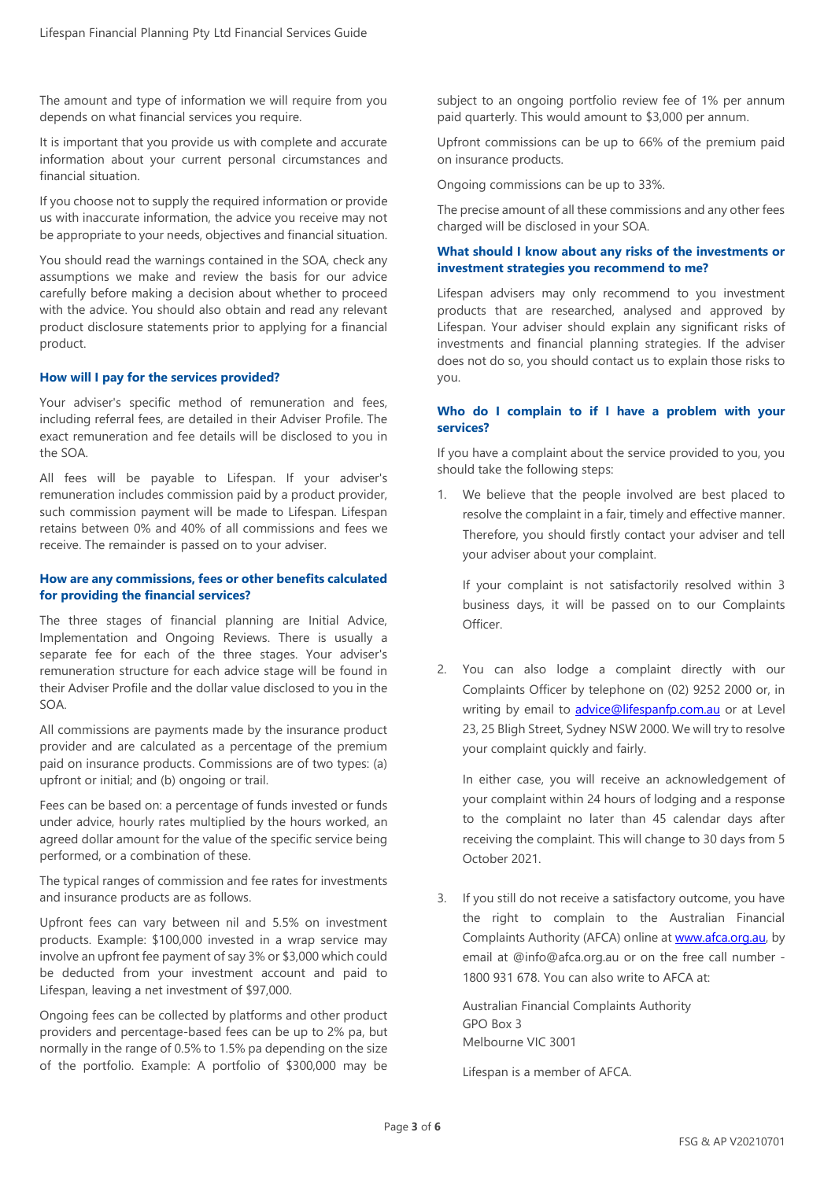The amount and type of information we will require from you depends on what financial services you require.

It is important that you provide us with complete and accurate information about your current personal circumstances and financial situation.

If you choose not to supply the required information or provide us with inaccurate information, the advice you receive may not be appropriate to your needs, objectives and financial situation.

You should read the warnings contained in the SOA, check any assumptions we make and review the basis for our advice carefully before making a decision about whether to proceed with the advice. You should also obtain and read any relevant product disclosure statements prior to applying for a financial product.

#### **How will I pay for the services provided?**

Your adviser's specific method of remuneration and fees, including referral fees, are detailed in their Adviser Profile. The exact remuneration and fee details will be disclosed to you in the SOA.

All fees will be payable to Lifespan. If your adviser's remuneration includes commission paid by a product provider, such commission payment will be made to Lifespan. Lifespan retains between 0% and 40% of all commissions and fees we receive. The remainder is passed on to your adviser.

#### **How are any commissions, fees or other benefits calculated for providing the financial services?**

The three stages of financial planning are Initial Advice, Implementation and Ongoing Reviews. There is usually a separate fee for each of the three stages. Your adviser's remuneration structure for each advice stage will be found in their Adviser Profile and the dollar value disclosed to you in the SOA.

All commissions are payments made by the insurance product provider and are calculated as a percentage of the premium paid on insurance products. Commissions are of two types: (a) upfront or initial; and (b) ongoing or trail.

Fees can be based on: a percentage of funds invested or funds under advice, hourly rates multiplied by the hours worked, an agreed dollar amount for the value of the specific service being performed, or a combination of these.

The typical ranges of commission and fee rates for investments and insurance products are as follows.

Upfront fees can vary between nil and 5.5% on investment products. Example: \$100,000 invested in a wrap service may involve an upfront fee payment of say 3% or \$3,000 which could be deducted from your investment account and paid to Lifespan, leaving a net investment of \$97,000.

Ongoing fees can be collected by platforms and other product providers and percentage-based fees can be up to 2% pa, but normally in the range of 0.5% to 1.5% pa depending on the size of the portfolio. Example: A portfolio of \$300,000 may be subject to an ongoing portfolio review fee of 1% per annum paid quarterly. This would amount to \$3,000 per annum.

Upfront commissions can be up to 66% of the premium paid on insurance products.

Ongoing commissions can be up to 33%.

The precise amount of all these commissions and any other fees charged will be disclosed in your SOA.

### **What should I know about any risks of the investments or investment strategies you recommend to me?**

Lifespan advisers may only recommend to you investment products that are researched, analysed and approved by Lifespan. Your adviser should explain any significant risks of investments and financial planning strategies. If the adviser does not do so, you should contact us to explain those risks to you.

### **Who do I complain to if I have a problem with your services?**

If you have a complaint about the service provided to you, you should take the following steps:

1. We believe that the people involved are best placed to resolve the complaint in a fair, timely and effective manner. Therefore, you should firstly contact your adviser and tell your adviser about your complaint.

If your complaint is not satisfactorily resolved within 3 business days, it will be passed on to our Complaints Officer.

2. You can also lodge a complaint directly with our Complaints Officer by telephone on (02) 9252 2000 or, in writing by email to [advice@lifespanfp.com.au](mailto:advice@lifespanfp.com.au) or at Level 23, 25 Bligh Street, Sydney NSW 2000. We will try to resolve your complaint quickly and fairly.

In either case, you will receive an acknowledgement of your complaint within 24 hours of lodging and a response to the complaint no later than 45 calendar days after receiving the complaint. This will change to 30 days from 5 October 2021.

3. If you still do not receive a satisfactory outcome, you have the right to complain to the Australian Financial Complaints Authority (AFCA) online a[t www.afca.org.au,](http://www.afca.org.au/) by email at @info@afca.org.au or on the free call number - 1800 931 678. You can also write to AFCA at:

Australian Financial Complaints Authority GPO Box 3 Melbourne VIC 3001

Lifespan is a member of AFCA.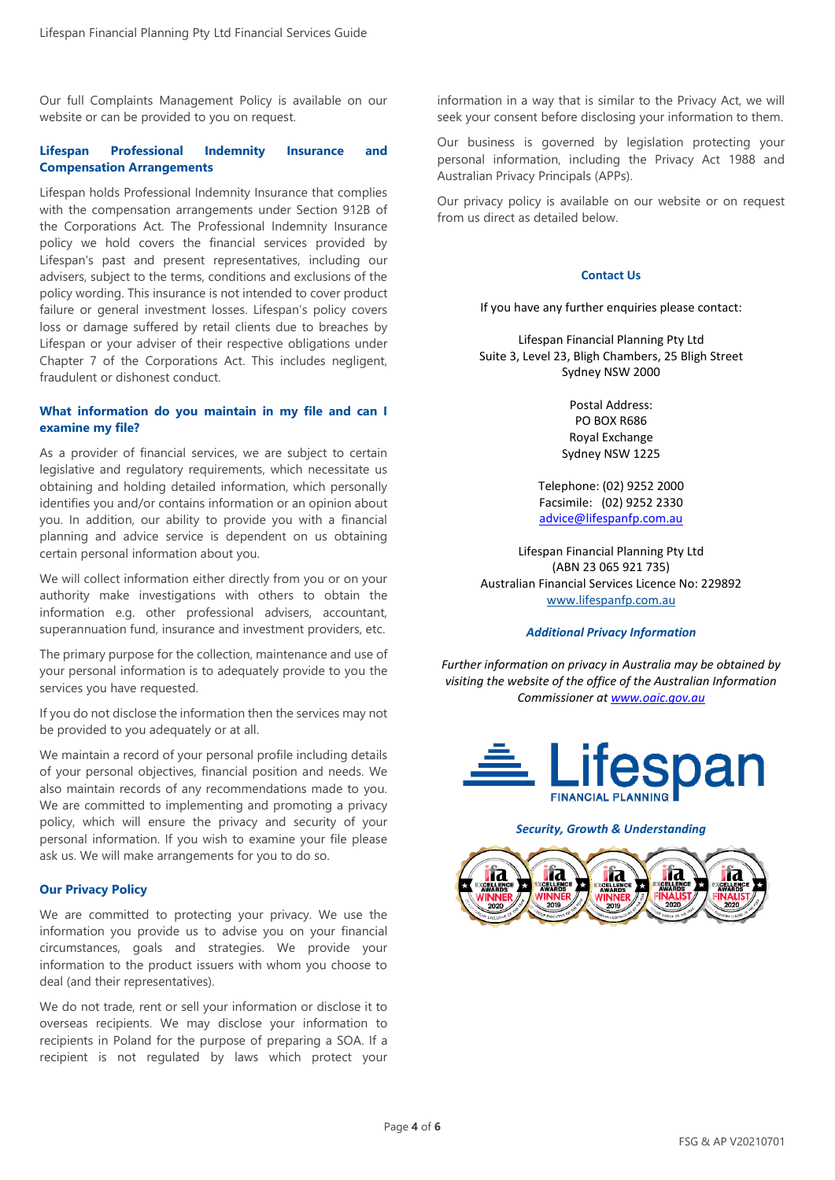Our full Complaints Management Policy is available on our website or can be provided to you on request.

#### **Lifespan Professional Indemnity Insurance and Compensation Arrangements**

Lifespan holds Professional Indemnity Insurance that complies with the compensation arrangements under Section 912B of the Corporations Act. The Professional Indemnity Insurance policy we hold covers the financial services provided by Lifespan's past and present representatives, including our advisers, subject to the terms, conditions and exclusions of the policy wording. This insurance is not intended to cover product failure or general investment losses. Lifespan's policy covers loss or damage suffered by retail clients due to breaches by Lifespan or your adviser of their respective obligations under Chapter 7 of the Corporations Act. This includes negligent, fraudulent or dishonest conduct.

#### **What information do you maintain in my file and can I examine my file?**

As a provider of financial services, we are subject to certain legislative and regulatory requirements, which necessitate us obtaining and holding detailed information, which personally identifies you and/or contains information or an opinion about you. In addition, our ability to provide you with a financial planning and advice service is dependent on us obtaining certain personal information about you.

We will collect information either directly from you or on your authority make investigations with others to obtain the information e.g. other professional advisers, accountant, superannuation fund, insurance and investment providers, etc.

The primary purpose for the collection, maintenance and use of your personal information is to adequately provide to you the services you have requested.

If you do not disclose the information then the services may not be provided to you adequately or at all.

We maintain a record of your personal profile including details of your personal objectives, financial position and needs. We also maintain records of any recommendations made to you. We are committed to implementing and promoting a privacy policy, which will ensure the privacy and security of your personal information. If you wish to examine your file please ask us. We will make arrangements for you to do so.

#### **Our Privacy Policy**

We are committed to protecting your privacy. We use the information you provide us to advise you on your financial circumstances, goals and strategies. We provide your information to the product issuers with whom you choose to deal (and their representatives).

We do not trade, rent or sell your information or disclose it to overseas recipients. We may disclose your information to recipients in Poland for the purpose of preparing a SOA. If a recipient is not regulated by laws which protect your

information in a way that is similar to the Privacy Act, we will seek your consent before disclosing your information to them.

Our business is governed by legislation protecting your personal information, including the Privacy Act 1988 and Australian Privacy Principals (APPs).

Our privacy policy is available on our website or on request from us direct as detailed below.

#### **Contact Us**

If you have any further enquiries please contact:

Lifespan Financial Planning Pty Ltd Suite 3, Level 23, Bligh Chambers, 25 Bligh Street Sydney NSW 2000

> Postal Address: PO BOX R686 Royal Exchange Sydney NSW 1225

Telephone: (02) 9252 2000 Facsimile: (02) 9252 2330 [advice@lifespanfp.com.au](mailto:advice@lifespanfp.com.au)

Lifespan Financial Planning Pty Ltd (ABN 23 065 921 735) Australian Financial Services Licence No: 229892 [www.lifespanfp.com.au](http://www.lifespanfp.com.au/)

#### *Additional Privacy Information*

*Further information on privacy in Australia may be obtained by visiting the website of the office of the Australian Information Commissioner a[t www.oaic.gov.au](http://www.oaic.gov.au/)*



#### *Security, Growth & Understanding*

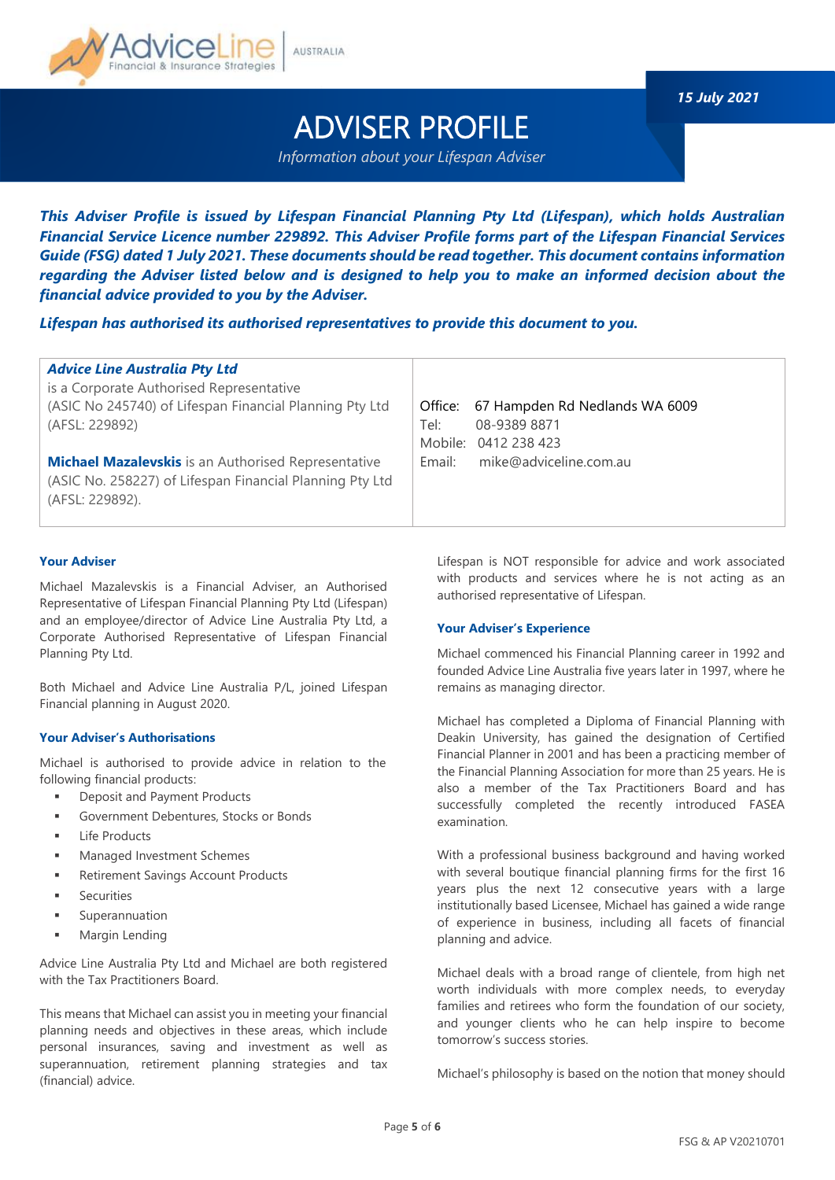

*15 July 2021*

# ADVISER PROFILE

*Information about your Lifespan Adviser*

*This Adviser Profile is issued by Lifespan Financial Planning Pty Ltd (Lifespan), which holds Australian Financial Service Licence number 229892. This Adviser Profile forms part of the Lifespan Financial Services Guide (FSG) dated 1 July 2021. These documents should be read together. This document contains information regarding the Adviser listed below and is designed to help you to make an informed decision about the financial advice provided to you by the Adviser.*

*Lifespan has authorised its authorised representatives to provide this document to you.*

| <b>Advice Line Australia Pty Ltd</b><br>is a Corporate Authorised Representative<br>(ASIC No 245740) of Lifespan Financial Planning Pty Ltd<br>(AFSL: 229892)<br><b>Michael Mazalevskis</b> is an Authorised Representative<br>(ASIC No. 258227) of Lifespan Financial Planning Pty Ltd<br>(AFSL: 229892). | Office: 67 Hampden Rd Nedlands WA 6009<br>Tel:<br>08-9389 8871<br>Mobile: 0412 238 423<br>mike@adviceline.com.au<br>Email: |
|------------------------------------------------------------------------------------------------------------------------------------------------------------------------------------------------------------------------------------------------------------------------------------------------------------|----------------------------------------------------------------------------------------------------------------------------|
|------------------------------------------------------------------------------------------------------------------------------------------------------------------------------------------------------------------------------------------------------------------------------------------------------------|----------------------------------------------------------------------------------------------------------------------------|

### **Your Adviser**

Michael Mazalevskis is a Financial Adviser, an Authorised Representative of Lifespan Financial Planning Pty Ltd (Lifespan) and an employee/director of Advice Line Australia Pty Ltd, a Corporate Authorised Representative of Lifespan Financial Planning Pty Ltd.

Both Michael and Advice Line Australia P/L, joined Lifespan Financial planning in August 2020.

#### **Your Adviser's Authorisations**

Michael is authorised to provide advice in relation to the following financial products:

- Deposit and Payment Products
- Government Debentures, Stocks or Bonds
- **Life Products**
- Managed Investment Schemes
- Retirement Savings Account Products
- **Securities**
- Superannuation
- Margin Lending

Advice Line Australia Pty Ltd and Michael are both registered with the Tax Practitioners Board.

This means that Michael can assist you in meeting your financial planning needs and objectives in these areas, which include personal insurances, saving and investment as well as superannuation, retirement planning strategies and tax (financial) advice.

Lifespan is NOT responsible for advice and work associated with products and services where he is not acting as an authorised representative of Lifespan.

#### **Your Adviser's Experience**

Michael commenced his Financial Planning career in 1992 and founded Advice Line Australia five years later in 1997, where he remains as managing director.

Michael has completed a Diploma of Financial Planning with Deakin University, has gained the designation of Certified Financial Planner in 2001 and has been a practicing member of the Financial Planning Association for more than 25 years. He is also a member of the Tax Practitioners Board and has successfully completed the recently introduced FASEA examination.

With a professional business background and having worked with several boutique financial planning firms for the first 16 years plus the next 12 consecutive years with a large institutionally based Licensee, Michael has gained a wide range of experience in business, including all facets of financial planning and advice.

Michael deals with a broad range of clientele, from high net worth individuals with more complex needs, to everyday families and retirees who form the foundation of our society, and younger clients who he can help inspire to become tomorrow's success stories.

Michael's philosophy is based on the notion that money should